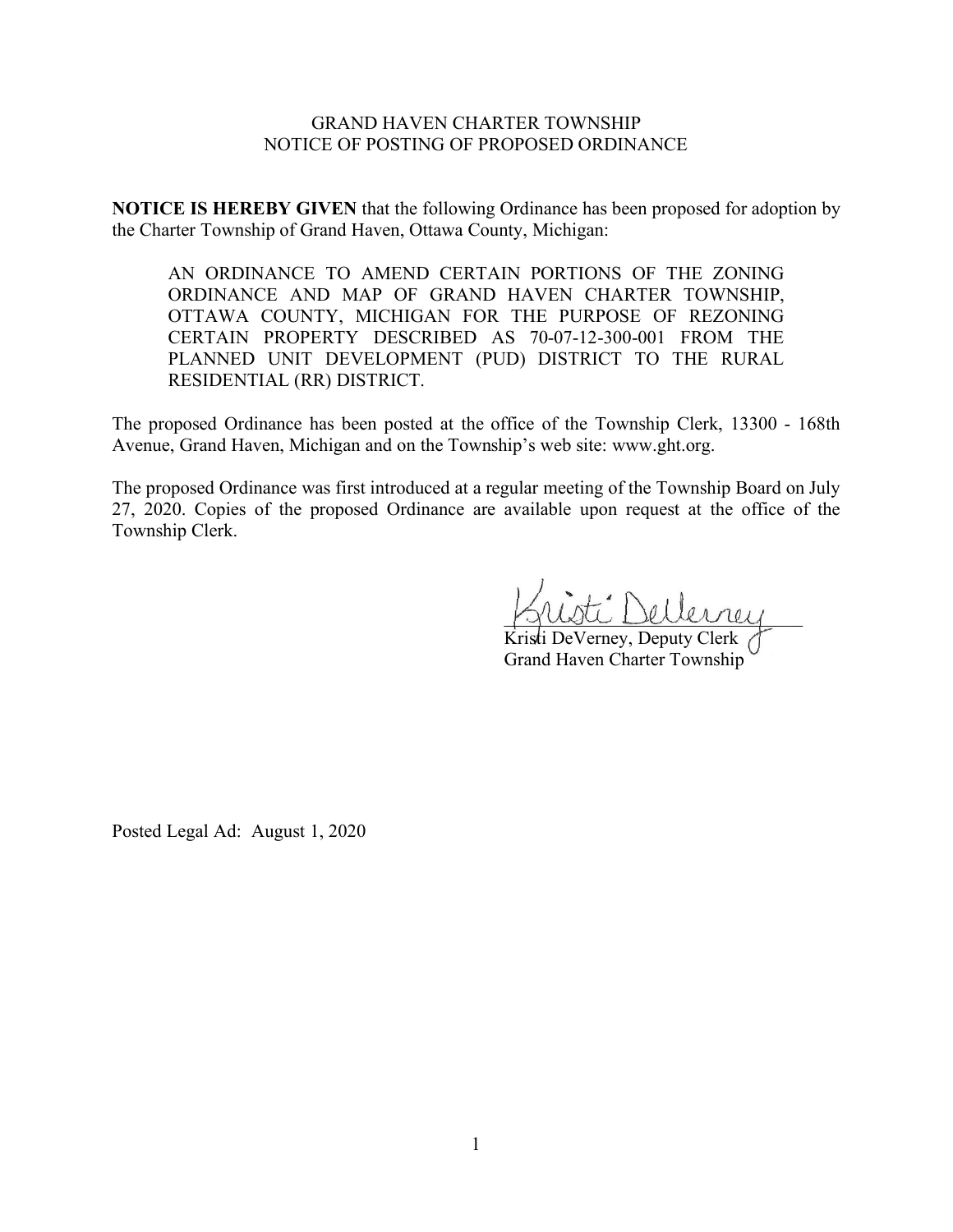## GRAND HAVEN CHARTER TOWNSHIP NOTICE OF POSTING OF PROPOSED ORDINANCE

**NOTICE IS HEREBY GIVEN** that the following Ordinance has been proposed for adoption by the Charter Township of Grand Haven, Ottawa County, Michigan:

AN ORDINANCE TO AMEND CERTAIN PORTIONS OF THE ZONING ORDINANCE AND MAP OF GRAND HAVEN CHARTER TOWNSHIP, OTTAWA COUNTY, MICHIGAN FOR THE PURPOSE OF REZONING CERTAIN PROPERTY DESCRIBED AS 70-07-12-300-001 FROM THE PLANNED UNIT DEVELOPMENT (PUD) DISTRICT TO THE RURAL RESIDENTIAL (RR) DISTRICT.

The proposed Ordinance has been posted at the office of the Township Clerk, 13300 - 168th Avenue, Grand Haven, Michigan and on the Township's web site: www.ght.org.

The proposed Ordinance was first introduced at a regular meeting of the Township Board on July 27, 2020. Copies of the proposed Ordinance are available upon request at the office of the Township Clerk.

\_\_\_\_\_\_\_\_\_\_\_\_\_\_\_\_\_\_\_\_\_\_\_\_\_\_\_\_\_\_\_\_

Kristi DeVerney, Deputy Clerk Grand Haven Charter Township

Posted Legal Ad: August 1, 2020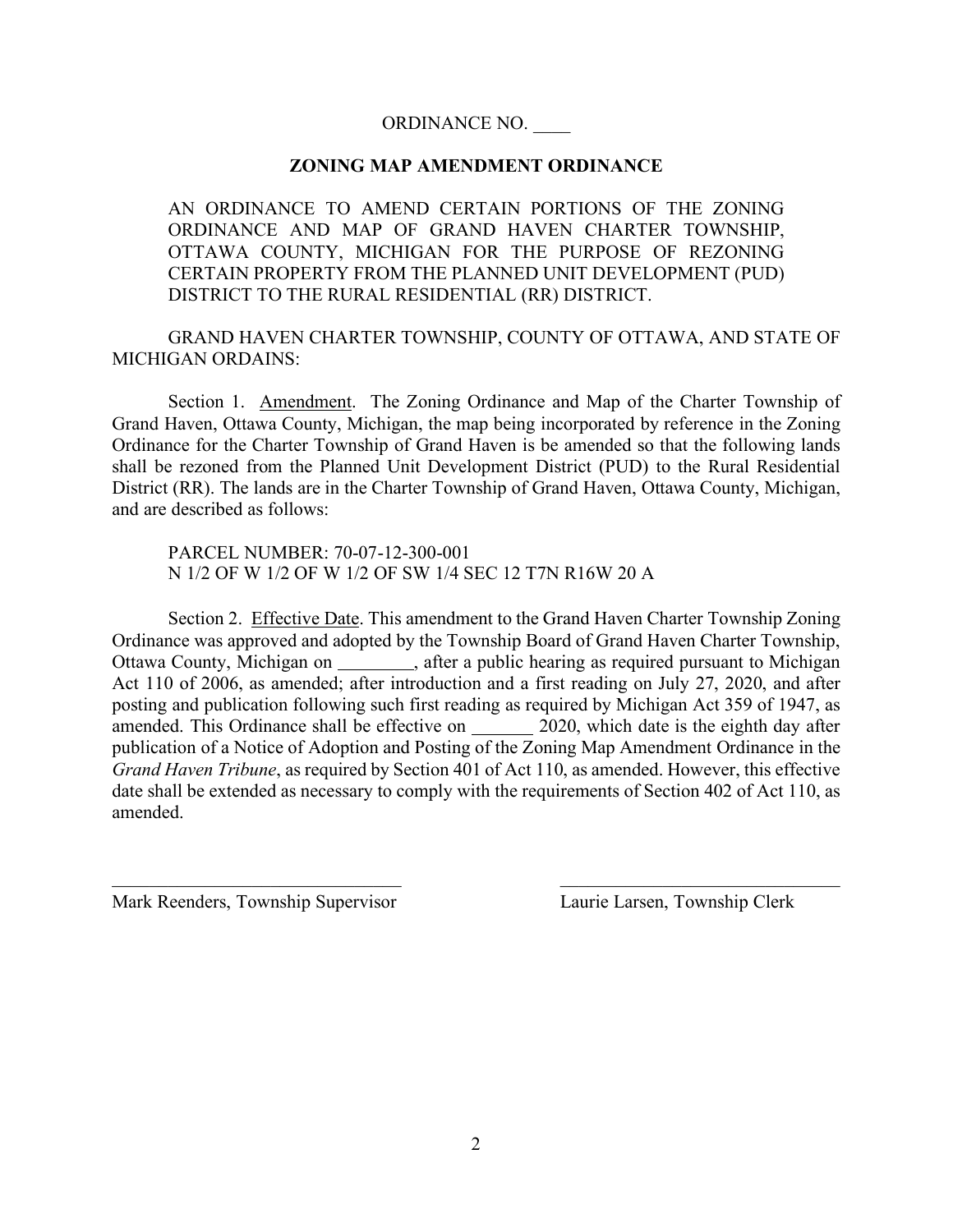## ORDINANCE NO. \_\_\_\_

## **ZONING MAP AMENDMENT ORDINANCE**

AN ORDINANCE TO AMEND CERTAIN PORTIONS OF THE ZONING ORDINANCE AND MAP OF GRAND HAVEN CHARTER TOWNSHIP, OTTAWA COUNTY, MICHIGAN FOR THE PURPOSE OF REZONING CERTAIN PROPERTY FROM THE PLANNED UNIT DEVELOPMENT (PUD) DISTRICT TO THE RURAL RESIDENTIAL (RR) DISTRICT.

GRAND HAVEN CHARTER TOWNSHIP, COUNTY OF OTTAWA, AND STATE OF MICHIGAN ORDAINS:

Section 1. Amendment. The Zoning Ordinance and Map of the Charter Township of Grand Haven, Ottawa County, Michigan, the map being incorporated by reference in the Zoning Ordinance for the Charter Township of Grand Haven is be amended so that the following lands shall be rezoned from the Planned Unit Development District (PUD) to the Rural Residential District (RR). The lands are in the Charter Township of Grand Haven, Ottawa County, Michigan, and are described as follows:

PARCEL NUMBER: 70-07-12-300-001 N 1/2 OF W 1/2 OF W 1/2 OF SW 1/4 SEC 12 T7N R16W 20 A

Section 2. Effective Date. This amendment to the Grand Haven Charter Township Zoning Ordinance was approved and adopted by the Township Board of Grand Haven Charter Township, Ottawa County, Michigan on \_\_\_\_\_\_\_\_, after a public hearing as required pursuant to Michigan Act 110 of 2006, as amended; after introduction and a first reading on July 27, 2020, and after posting and publication following such first reading as required by Michigan Act 359 of 1947, as amended. This Ordinance shall be effective on 2020, which date is the eighth day after publication of a Notice of Adoption and Posting of the Zoning Map Amendment Ordinance in the *Grand Haven Tribune*, as required by Section 401 of Act 110, as amended. However, this effective date shall be extended as necessary to comply with the requirements of Section 402 of Act 110, as amended.

Mark Reenders, Township Supervisor Laurie Larsen, Township Clerk